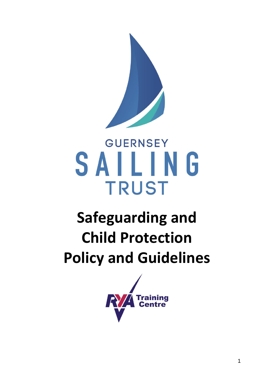

# **GUERNSEY** SAILING **TRUST**

# **Safeguarding and Child Protection Policy and Guidelines**

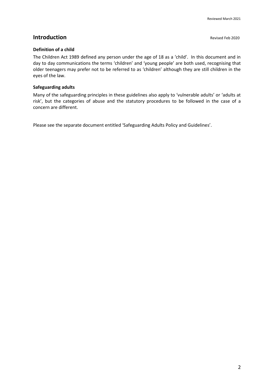### **Introduction Revised Feb 2020**

### **Definition of a child**

The Children Act 1989 defined any person under the age of 18 as a 'child'. In this document and in day to day communications the terms 'children' and 'young people' are both used, recognising that older teenagers may prefer not to be referred to as 'children' although they are still children in the eyes of the law.

### **Safeguarding adults**

Many of the safeguarding principles in these guidelines also apply to 'vulnerable adults' or 'adults at risk', but the categories of abuse and the statutory procedures to be followed in the case of a concern are different.

Please see the separate document entitled 'Safeguarding Adults Policy and Guidelines'.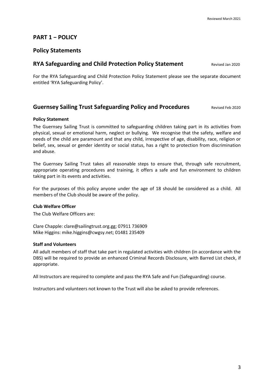### **PART 1 − POLICY**

### **Policy Statements**

### **RYA Safeguarding and Child Protection Policy Statement Revised Jan 2020**

For the RYA Safeguarding and Child Protection Policy Statement please see the separate document entitled 'RYA Safeguarding Policy'.

### **Guernsey Sailing Trust Safeguarding Policy and Procedures <b>Revised Feb 2020**

### **Policy Statement**

The Guernsey Sailing Trust is committed to safeguarding children taking part in its activities from physical, sexual or emotional harm, neglect or bullying. We recognise that the safety, welfare and needs of the child are paramount and that any child, irrespective of age, disability, race, religion or belief, sex, sexual or gender identity or social status, has a right to protection from discrimination and abuse.

The Guernsey Sailing Trust takes all reasonable steps to ensure that, through safe recruitment, appropriate operating procedures and training, it offers a safe and fun environment to children taking part in its events and activities.

For the purposes of this policy anyone under the age of 18 should be considered as a child. All members of the Club should be aware of the policy.

### **Club Welfare Officer**

The Club Welfare Officers are:

Clare Chapple: clare@sailingtrust.org.gg; 07911 736909 Mike Higgins: mike.higgins@cwgsy.net; 01481 235409

### **Staff and Volunteers**

All adult members of staff that take part in regulated activities with children (in accordance with the DBS) will be required to provide an enhanced Criminal Records Disclosure, with Barred List check, if appropriate.

All Instructors are required to complete and pass the RYA Safe and Fun (Safeguarding) course.

Instructors and volunteers not known to the Trust will also be asked to provide references.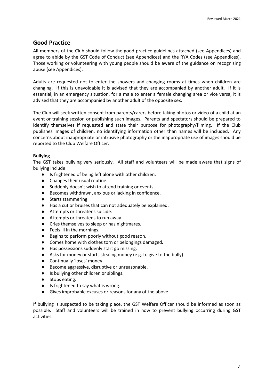### **Good Practice**

All members of the Club should follow the good practice guidelines attached (see Appendices) and agree to abide by the GST Code of Conduct (see Appendices) and the RYA Codes (see Appendices). Those working or volunteering with young people should be aware of the guidance on recognising abuse (see Appendices).

Adults are requested not to enter the showers and changing rooms at times when children are changing. If this is unavoidable it is advised that they are accompanied by another adult. If it is essential, in an emergency situation, for a male to enter a female changing area or vice versa, it is advised that they are accompanied by another adult of the opposite sex.

The Club will seek written consent from parents/carers before taking photos or video of a child at an event or training session or publishing such images. Parents and spectators should be prepared to identify themselves if requested and state their purpose for photography/filming. If the Club publishes images of children, no identifying information other than names will be included. Any concerns about inappropriate or intrusive photography or the inappropriate use of images should be reported to the Club Welfare Officer.

### **Bullying**

The GST takes bullying very seriously. All staff and volunteers will be made aware that signs of bullying include:

- Is frightened of being left alone with other children.
- Changes their usual routine.
- Suddenly doesn't wish to attend training or events.
- Becomes withdrawn, anxious or lacking in confidence.
- Starts stammering.
- Has a cut or bruises that can not adequately be explained.
- Attempts or threatens suicide.
- Attempts or threatens to run away.
- Cries themselves to sleep or has nightmares.
- Feels ill in the mornings.
- Begins to perform poorly without good reason.
- Comes home with clothes torn or belongings damaged.
- Has possessions suddenly start go missing.
- Asks for money or starts stealing money (e.g. to give to the bully)
- Continually 'loses' money.
- Become aggressive, disruptive or unreasonable.
- Is bullying other children or siblings.
- Stops eating.
- Is frightened to say what is wrong.
- Gives improbable excuses or reasons for any of the above

If bullying is suspected to be taking place, the GST Welfare Officer should be informed as soon as possible. Staff and volunteers will be trained in how to prevent bullying occurring during GST activities.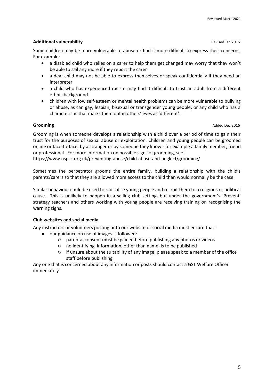### **Additional vulnerability Revised Jan 2016 Revised Jan 2016 Revised Jan 2016**

Some children may be more vulnerable to abuse or find it more difficult to express their concerns. For example:

- a disabled child who relies on a carer to help them get changed may worry that they won't be able to sail any more if they report the carer
- a deaf child may not be able to express themselves or speak confidentially if they need an interpreter
- a child who has experienced racism may find it difficult to trust an adult from a different ethnic background
- children with low self-esteem or mental health problems can be more vulnerable to bullying or abuse, as can gay, lesbian, bisexual or transgender young people, or any child who has a characteristic that marks them out in others' eyes as 'different'.

**Grooming** Added Dec 2016

Grooming is when someone develops a relationship with a child over a period of time to gain their trust for the purposes of sexual abuse or exploitation. Children and young people can be groomed online or face-to-face, by a stranger or by someone they know - for example a family member, friend or professional. For more information on possible signs of grooming, see:

<https://www.nspcc.org.uk/preventing-abuse/child-abuse-and-neglect/grooming/>

Sometimes the perpetrator grooms the entire family, building a relationship with the child's parents/carers so that they are allowed more access to the child than would normally be the case.

Similar behaviour could be used to radicalise young people and recruit them to a religious or political cause. This is unlikely to happen in a sailing club setting, but under the government's 'Prevent' strategy teachers and others working with young people are receiving training on recognising the warning signs.

### **Club websites and social media**

Any instructors or volunteers posting onto our website or social media must ensure that:

- our guidance on use of images is followed:
	- parental consent must be gained before publishing any photos or videos
	- no identifying information, other than name, is to be published
	- if unsure about the suitability of any image, please speak to a member of the office staff before publishing

Any one that is concerned about any information or posts should contact a GST Welfare Officer immediately.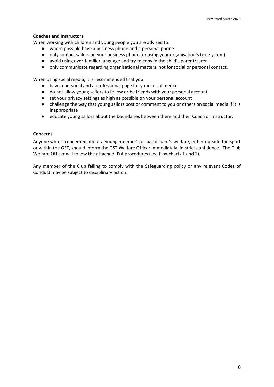### **Coaches and Instructors**

When working with children and young people you are advised to:

- where possible have a business phone and a personal phone
- only contact sailors on your business phone (or using your organisation's text system)
- avoid using over-familiar language and try to copy in the child's parent/carer
- only communicate regarding organisational matters, not for social or personal contact.

When using social media, it is recommended that you:

- have a personal and a professional page for your social media
- do not allow young sailors to follow or be friends with your personal account
- set your privacy settings as high as possible on your personal account
- challenge the way that young sailors post or comment to you or others on social media if it is inappropriate
- educate young sailors about the boundaries between them and their Coach or Instructor.

### **Concerns**

Anyone who is concerned about a young member's or participant's welfare, either outside the sport or within the GST, should inform the GST Welfare Officer immediately, in strict confidence. The Club Welfare Officer will follow the attached RYA procedures (see Flowcharts 1 and 2).

Any member of the Club failing to comply with the Safeguarding policy or any relevant Codes of Conduct may be subject to disciplinary action.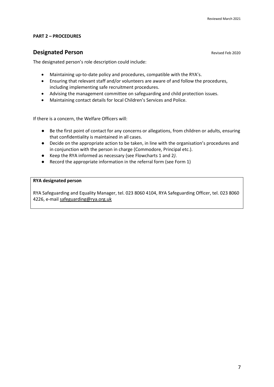### **PART 2 – PROCEDURES**

### **Designated Person**<br> **Revised Feb 2020**

The designated person's role description could include:

- Maintaining up-to-date policy and procedures, compatible with the RYA's.
- Ensuring that relevant staff and/or volunteers are aware of and follow the procedures, including implementing safe recruitment procedures.
- Advising the management committee on safeguarding and child protection issues.
- Maintaining contact details for local Children's Services and Police.

If there is a concern, the Welfare Officers will:

- Be the first point of contact for any concerns or allegations, from children or adults, ensuring that confidentiality is maintained in all cases.
- Decide on the appropriate action to be taken, in line with the organisation's procedures and in conjunction with the person in charge (Commodore, Principal etc.).
- Keep the RYA informed as necessary (see Flowcharts 1 and 2*)*.
- Record the appropriate information in the referral form (see Form 1)

### **RYA designated person**

RYA Safeguarding and Equality Manager, tel. 023 8060 4104, RYA Safeguarding Officer, tel. 023 8060 4226, e-mail [safeguarding@rya.org.uk](mailto:safeguarding@rya.org.uk)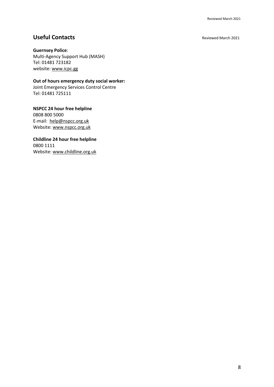### **Useful Contacts Reviewed March 2021**

### **Guernsey Police**:

Multi-Agency Support Hub (MASH) Tel: 01481 723182 website[: www.icpc.gg](http://www.icpc.gg/)

**Out of hours emergency duty social worker:** 

Joint Emergency Services Control Centre Tel: 01481 725111

**NSPCC 24 hour free helpline** 0808 800 5000 E-mail: [help@nspcc.org.uk](mailto:help@nspcc.org.uk) Website[: www.nspcc.org.uk](http://www.nspcc.org.uk/)

### **Childline 24 hour free helpline** 0800 1111

Website[: www.childline.org.uk](http://www.childline.org.uk/)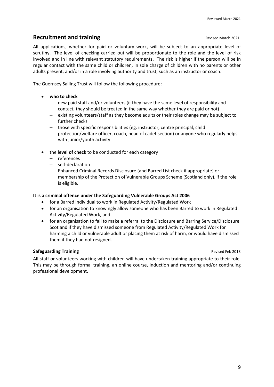### **Recruitment and training**<br> **Recruitment and training**

All applications, whether for paid or voluntary work, will be subject to an appropriate level of scrutiny. The level of checking carried out will be proportionate to the role and the level of risk involved and in line with relevant statutory requirements. The risk is higher if the person will be in regular contact with the same child or children, in sole charge of children with no parents or other adults present, and/or in a role involving authority and trust, such as an instructor or coach.

The Guernsey Sailing Trust will follow the following procedure:

- **who to check** 
	- new paid staff and/or volunteers (if they have the same level of responsibility and contact, they should be treated in the same way whether they are paid or not)
	- existing volunteers/staff as they become adults or their roles change may be subject to further checks
	- those with specific responsibilities (eg. instructor, centre principal, child protection/welfare officer, coach, head of cadet section) or anyone who regularly helps with junior/youth activity
- the **level of check** to be conducted for each category
	- references
	- self-declaration
	- Enhanced Criminal Records Disclosure (and Barred List check if appropriate) or membership of the Protection of Vulnerable Groups Scheme (Scotland only), if the role is eligible.

### **It is a criminal offence under the Safeguarding Vulnerable Groups Act 2006**

- for a Barred individual to work in Regulated Activity/Regulated Work
- for an organisation to knowingly allow someone who has been Barred to work in Regulated Activity/Regulated Work, and
- for an organisation to fail to make a referral to the Disclosure and Barring Service/Disclosure Scotland if they have dismissed someone from Regulated Activity/Regulated Work for harming a child or vulnerable adult or placing them at risk of harm, or would have dismissed them if they had not resigned.

### **Safeguarding Training Safeguarding Training <b>Revised Feb 2018 Revised Feb 2018**

All staff or volunteers working with children will have undertaken training appropriate to their role. This may be through formal training, an online course, induction and mentoring and/or continuing professional development.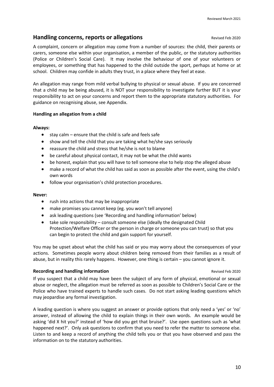### **Handling concerns, reports or allegations**

A complaint, concern or allegation may come from a number of sources: the child, their parents or carers, someone else within your organisation, a member of the public, or the statutory authorities (Police or Children's Social Care). It may involve the behaviour of one of your volunteers or employees, or something that has happened to the child outside the sport, perhaps at home or at school. Children may confide in adults they trust, in a place where they feel at ease.

An allegation may range from mild verbal bullying to physical or sexual abuse. If you are concerned that a child may be being abused, it is NOT your responsibility to investigate further BUT it is your responsibility to act on your concerns and report them to the appropriate statutory authorities. For guidance on recognising abuse, see Appendix.

### **Handling an allegation from a child**

### **Always:**

- $\bullet$  stay calm ensure that the child is safe and feels safe
- show and tell the child that you are taking what he/she says seriously
- reassure the child and stress that he/she is not to blame
- be careful about physical contact, it may not be what the child wants
- be honest, explain that you will have to tell someone else to help stop the alleged abuse
- make a record of what the child has said as soon as possible after the event, using the child's own words
- follow your organisation's child protection procedures.

### **Never:**

- rush into actions that may be inappropriate
- make promises you cannot keep (eg. you won't tell anyone)
- ask leading questions (see 'Recording and handling information' below)
- take sole responsibility consult someone else (ideally the designated Child Protection/Welfare Officer or the person in charge or someone you can trust) so that you can begin to protect the child and gain support for yourself.

You may be upset about what the child has said or you may worry about the consequences of your actions. Sometimes people worry about children being removed from their families as a result of abuse, but in reality this rarely happens. However, one thing is certain – you cannot ignore it.

### **Recording and handling information Revised Feb 2020 Revised Feb 2020**

If you suspect that a child may have been the subject of any form of physical, emotional or sexual abuse or neglect, the allegation must be referred as soon as possible to Children's Social Care or the Police who have trained experts to handle such cases. Do not start asking leading questions which may jeopardise any formal investigation.

A leading question is where you suggest an answer or provide options that only need a 'yes' or 'no' answer, instead of allowing the child to explain things in their own words. An example would be asking 'did X hit you?' instead of 'how did you get that bruise?'. Use open questions such as 'what happened next?'. Only ask questions to confirm that you need to refer the matter to someone else. Listen to and keep a record of anything the child tells you or that you have observed and pass the information on to the statutory authorities.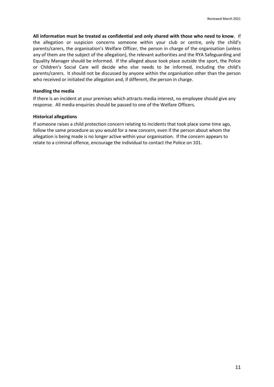**All information must be treated as confidential and only shared with those who need to know**. If the allegation or suspicion concerns someone within your club or centre, only the child's parents/carers, the organisation's Welfare Officer, the person in charge of the organisation (unless any of them are the subject of the allegation), the relevant authorities and the RYA Safeguarding and Equality Manager should be informed. If the alleged abuse took place outside the sport, the Police or Children's Social Care will decide who else needs to be informed, including the child's parents/carers. It should not be discussed by anyone within the organisation other than the person who received or initiated the allegation and, if different, the person in charge.

### **Handling the media**

If there is an incident at your premises which attracts media interest, no employee should give any response. All media enquiries should be passed to one of the Welfare Officers.

### **Historical allegations**

If someone raises a child protection concern relating to incidents that took place some time ago, follow the same procedure as you would for a new concern, even if the person about whom the allegation is being made is no longer active within your organisation. If the concern appears to relate to a criminal offence, encourage the individual to contact the Police on 101.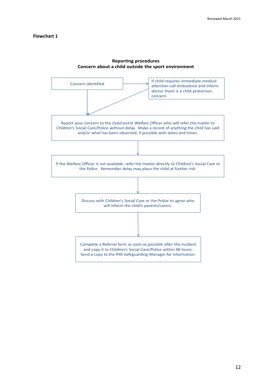### **Flowchart 1**



## **Reporting procedures**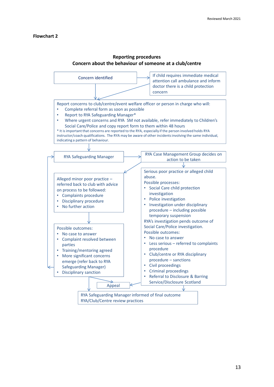### **Flowchart 2**



### **Reporting procedures Concern about the behaviour of someone at a club/centre**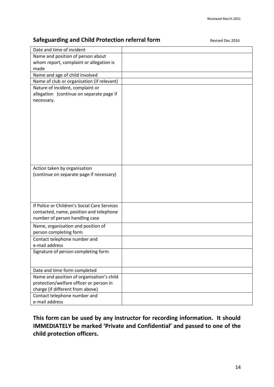## **Safeguarding and Child Protection referral form** *Revised Dec 2016*

| Date and time of incident                                                 |  |
|---------------------------------------------------------------------------|--|
| Name and position of person about                                         |  |
| whom report, complaint or allegation is                                   |  |
| made                                                                      |  |
| Name and age of child involved                                            |  |
| Name of club or organisation (if relevant)                                |  |
| Nature of incident, complaint or                                          |  |
| allegation (continue on separate page if                                  |  |
| necessary.                                                                |  |
|                                                                           |  |
|                                                                           |  |
|                                                                           |  |
|                                                                           |  |
|                                                                           |  |
|                                                                           |  |
|                                                                           |  |
|                                                                           |  |
|                                                                           |  |
| Action taken by organisation                                              |  |
| (continue on separate page if necessary)                                  |  |
|                                                                           |  |
|                                                                           |  |
|                                                                           |  |
|                                                                           |  |
| If Police or Children's Social Care Services                              |  |
| contacted, name, position and telephone                                   |  |
| number of person handling case                                            |  |
| Name, organisation and position of                                        |  |
| person completing form                                                    |  |
| Contact telephone number and                                              |  |
| e-mail address                                                            |  |
| Signature of person completing form                                       |  |
|                                                                           |  |
|                                                                           |  |
| Date and time form completed<br>Name and position of organisation's child |  |
| protection/welfare officer or person in                                   |  |
| charge (if different from above)                                          |  |
| Contact telephone number and                                              |  |
| e-mail address                                                            |  |
|                                                                           |  |

## **This form can be used by any instructor for recording information. It should IMMEDIATELY be marked 'Private and Confidential' and passed to one of the child protection officers.**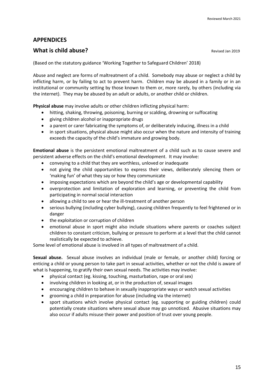### **APPENDICES**

### **What is child abuse? CONSERVIST 2019 Revised Jan 2019**

(Based on the statutory guidance 'Working Together to Safeguard Children' 2018)

Abuse and neglect are forms of maltreatment of a child. Somebody may abuse or neglect a child by inflicting harm, or by failing to act to prevent harm. Children may be abused in a family or in an institutional or community setting by those known to them or, more rarely, by others (including via the internet). They may be abused by an adult or adults, or another child or children.

**Physical abuse** may involve adults or other children inflicting physical harm:

- hitting, shaking, throwing, poisoning, burning or scalding, drowning or suffocating
- giving children alcohol or inappropriate drugs
- a parent or carer fabricating the symptoms of, or deliberately inducing, illness in a child
- in sport situations, physical abuse might also occur when the nature and intensity of training exceeds the capacity of the child's immature and growing body.

**Emotional abuse** is the persistent emotional maltreatment of a child such as to cause severe and persistent adverse effects on the child's emotional development. It may involve:

- conveying to a child that they are worthless, unloved or inadequate
- not giving the child opportunities to express their views, deliberately silencing them or 'making fun' of what they say or how they communicate
- imposing expectations which are beyond the child's age or developmental capability
- overprotection and limitation of exploration and learning, or preventing the child from participating in normal social interaction
- allowing a child to see or hear the ill-treatment of another person
- serious bullying (including cyber bullying), causing children frequently to feel frightened or in danger
- the exploitation or corruption of children
- emotional abuse in sport might also include situations where parents or coaches subject children to constant criticism, bullying or pressure to perform at a level that the child cannot realistically be expected to achieve.

Some level of emotional abuse is involved in all types of maltreatment of a child.

**Sexual abuse.** Sexual abuse involves an individual (male or female, or another child) forcing or enticing a child or young person to take part in sexual activities, whether or not the child is aware of what is happening, to gratify their own sexual needs. The activities may involve:

- physical contact (eg. kissing, touching, masturbation, rape or oral sex)
- involving children in looking at, or in the production of, sexual images
- encouraging children to behave in sexually inappropriate ways or watch sexual activities
- grooming a child in preparation for abuse (including via the internet)
- sport situations which involve physical contact (eg. supporting or guiding children) could potentially create situations where sexual abuse may go unnoticed. Abusive situations may also occur if adults misuse their power and position of trust over young people.

15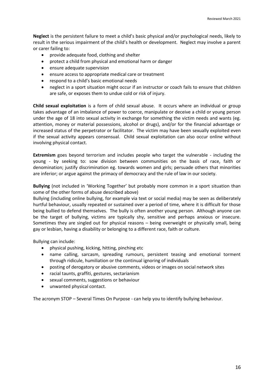**Neglect** is the persistent failure to meet a child's basic physical and/or psychological needs, likely to result in the serious impairment of the child's health or development. Neglect may involve a parent or carer failing to:

- provide adequate food, clothing and shelter
- protect a child from physical and emotional harm or danger
- ensure adequate supervision
- ensure access to appropriate medical care or treatment
- respond to a child's basic emotional needs
- neglect in a sport situation might occur if an instructor or coach fails to ensure that children are safe, or exposes them to undue cold or risk of injury.

**Child sexual exploitation** is a form of child sexual abuse. It occurs where an individual or group takes advantage of an imbalance of power to coerce, manipulate or deceive a child or young person under the age of 18 into sexual activity in exchange for something the victim needs and wants (eg. attention, money or material possessions, alcohol or drugs), and/or for the financial advantage or increased status of the perpetrator or facilitator. The victim may have been sexually exploited even if the sexual activity appears consensual. Child sexual exploitation can also occur online without involving physical contact.

**Extremism** goes beyond terrorism and includes people who target the vulnerable - including the young - by seeking to: sow division between communities on the basis of race, faith or denomination; justify discrimination eg. towards women and girls; persuade others that minorities are inferior; or argue against the primacy of democracy and the rule of law in our society.

**Bullying** (not included in 'Working Together' but probably more common in a sport situation than some of the other forms of abuse described above)

Bullying (including online bullying, for example via text or social media) may be seen as deliberately hurtful behaviour, usually repeated or sustained over a period of time, where it is difficult for those being bullied to defend themselves. The bully is often another young person. Although anyone can be the target of bullying, victims are typically shy, sensitive and perhaps anxious or insecure. Sometimes they are singled out for physical reasons – being overweight or physically small, being gay or lesbian, having a disability or belonging to a different race, faith or culture.

Bullying can include:

- physical pushing, kicking, hitting, pinching etc
- name calling, sarcasm, spreading rumours, persistent teasing and emotional torment through ridicule, humiliation or the continual ignoring of individuals
- posting of derogatory or abusive comments, videos or images on social network sites
- racial taunts, graffiti, gestures, sectarianism
- sexual comments, suggestions or behaviour
- unwanted physical contact.

The acronym STOP – Several Times On Purpose - can help you to identify bullying behaviour.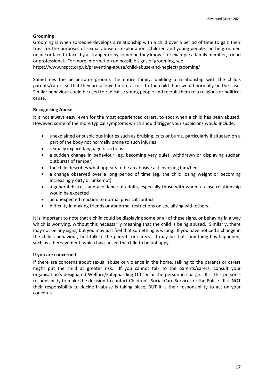### **Grooming**

Grooming is when someone develops a relationship with a child over a period of time to gain their trust for the purposes of sexual abuse or exploitation. Children and young people can be groomed online or face-to-face, by a stranger or by someone they know - for example a family member, friend or professional. For more information on possible signs of grooming, see:

https://www.nspcc.org.uk/preventing-abuse/child-abuse-and-neglect/grooming/

Sometimes the perpetrator grooms the entire family, building a relationship with the child's parents/carers so that they are allowed more access to the child than would normally be the case. Similar behaviour could be used to radicalise young people and recruit them to a religious or political cause.

### **Recognising Abuse**

It is not always easy, even for the most experienced carers, to spot when a child has been abused. However, some of the more typical symptoms which should trigger your suspicions would include:

- unexplained or suspicious injuries such as bruising, cuts or burns, particularly if situated on a part of the body not normally prone to such injuries
- sexually explicit language or actions
- a sudden change in behaviour (eg. becoming very quiet, withdrawn or displaying sudden outbursts of temper)
- the child describes what appears to be an abusive act involving him/her
- a change observed over a long period of time (eg. the child losing weight or becoming increasingly dirty or unkempt)
- a general distrust and avoidance of adults, especially those with whom a close relationship would be expected
- an unexpected reaction to normal physical contact
- difficulty in making friends or abnormal restrictions on socialising with others.

It is important to note that a child could be displaying some or all of these signs, or behaving in a way which is worrying, without this necessarily meaning that the child is being abused. Similarly, there may not be any signs, but you may just feel that something is wrong. If you have noticed a change in the child's behaviour, first talk to the parents or carers. It may be that something has happened, such as a bereavement, which has caused the child to be unhappy.

### **If you are concerned**

If there are concerns about sexual abuse or violence in the home, talking to the parents or carers might put the child at greater risk. If you cannot talk to the parents/carers, consult your organisation's designated Welfare/Safeguarding Officer or the person in charge. It is this person's responsibility to make the decision to contact Children's Social Care Services or the Police. It is NOT their responsibility to decide if abuse is taking place, BUT it is their responsibility to act on your concerns.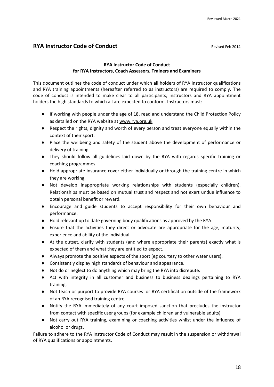### **RYA Instructor Code of Conduct** Revised Feb 2014

### **RYA Instructor Code of Conduct for RYA Instructors, Coach Assessors, Trainers and Examiners**

This document outlines the code of conduct under which all holders of RYA instructor qualifications and RYA training appointments (hereafter referred to as instructors) are required to comply. The code of conduct is intended to make clear to all participants, instructors and RYA appointment holders the high standards to which all are expected to conform. Instructors must:

- If working with people under the age of 18, read and understand the Child Protection Policy as detailed on the RYA website at [www.rya.org.uk](http://www.rya.org.uk/)
- Respect the rights, dignity and worth of every person and treat everyone equally within the context of their sport.
- Place the wellbeing and safety of the student above the development of performance or delivery of training.
- They should follow all guidelines laid down by the RYA with regards specific training or coaching programmes.
- Hold appropriate insurance cover either individually or through the training centre in which they are working.
- Not develop inappropriate working relationships with students (especially children). Relationships must be based on mutual trust and respect and not exert undue influence to obtain personal benefit or reward.
- Encourage and guide students to accept responsibility for their own behaviour and performance.
- Hold relevant up to date governing body qualifications as approved by the RYA.
- Ensure that the activities they direct or advocate are appropriate for the age, maturity, experience and ability of the individual.
- At the outset, clarify with students (and where appropriate their parents) exactly what is expected of them and what they are entitled to expect.
- Always promote the positive aspects of the sport (eg courtesy to other water users).
- Consistently display high standards of behaviour and appearance.
- Not do or neglect to do anything which may bring the RYA into disrepute.
- Act with integrity in all customer and business to business dealings pertaining to RYA training.
- Not teach or purport to provide RYA courses or RYA certification outside of the framework of an RYA recognised training centre
- Notify the RYA immediately of any court imposed sanction that precludes the instructor from contact with specific user groups (for example children and vulnerable adults).
- Not carry out RYA training, examining or coaching activities whilst under the influence of alcohol or drugs.

Failure to adhere to the RYA Instructor Code of Conduct may result in the suspension or withdrawal of RYA qualifications or appointments.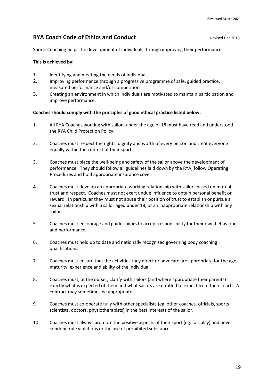### **RYA Coach Code of Ethics and Conduct** *RYA* **Coach Code of Ethics and Conduct <b>Revised Dec** 2018

Sports Coaching helps the development of individuals through improving their performance.

### **This is achieved by:**

- 1. Identifying and meeting the needs of individuals.
- 2. Improving performance through a progressive programme of safe, guided practice, measured performance and/or competition.
- 3. Creating an environment in which individuals are motivated to maintain participation and improve performance.

### **Coaches should comply with the principles of good ethical practice listed below.**

- 1. All RYA Coaches working with sailors under the age of 18 must have read and understood the RYA Child Protection Policy.
- 2. Coaches must respect the rights, dignity and worth of every person and treat everyone equally within the context of their sport.
- 3. Coaches must place the well-being and safety of the sailor above the development of performance. They should follow all guidelines laid down by the RYA, follow Operating Procedures and hold appropriate insurance cover.
- 4. Coaches must develop an appropriate working relationship with sailors based on mutual trust and respect. Coaches must not exert undue influence to obtain personal benefit or reward. In particular they must not abuse their position of trust to establish or pursue a sexual relationship with a sailor aged under 18, or an inappropriate relationship with any sailor.
- 5. Coaches must encourage and guide sailors to accept responsibility for their own behaviour and performance.
- 6. Coaches must hold up to date and nationally recognised governing body coaching qualifications.
- 7. Coaches must ensure that the activities they direct or advocate are appropriate for the age, maturity, experience and ability of the individual.
- 8. Coaches must, at the outset, clarify with sailors (and where appropriate their parents) exactly what is expected of them and what sailors are entitled to expect from their coach. A contract may sometimes be appropriate.
- 9. Coaches must co-operate fully with other specialists (eg. other coaches, officials, sports scientists, doctors, physiotherapists) in the best interests of the sailor.
- 10. Coaches must always promote the positive aspects of their sport (eg. fair play) and never condone rule violations or the use of prohibited substances.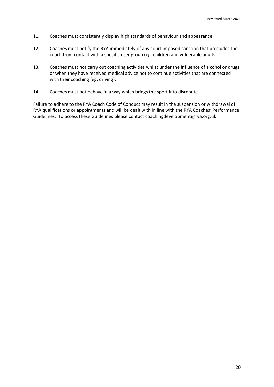- 11. Coaches must consistently display high standards of behaviour and appearance.
- 12. Coaches must notify the RYA immediately of any court imposed sanction that precludes the coach from contact with a specific user group (eg. children and vulnerable adults).
- 13. Coaches must not carry out coaching activities whilst under the influence of alcohol or drugs, or when they have received medical advice not to continue activities that are connected with their coaching (eg. driving).
- 14. Coaches must not behave in a way which brings the sport into disrepute.

Failure to adhere to the RYA Coach Code of Conduct may result in the suspension or withdrawal of RYA qualifications or appointments and will be dealt with in line with the RYA Coaches' Performance Guidelines. To access these Guidelines please contac[t coachingdevelopment@rya.org.uk](mailto:coachingdevelopment@rya.org.uk)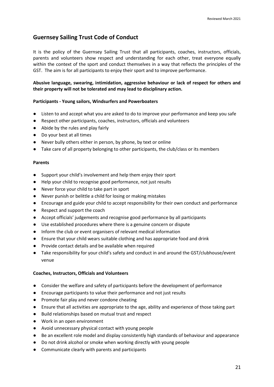### **Guernsey Sailing Trust Code of Conduct**

It is the policy of the Guernsey Sailing Trust that all participants, coaches, instructors, officials, parents and volunteers show respect and understanding for each other, treat everyone equally within the context of the sport and conduct themselves in a way that reflects the principles of the GST. The aim is for all participants to enjoy their sport and to improve performance.

### **Abusive language, swearing, intimidation, aggressive behaviour or lack of respect for others and their property will not be tolerated and may lead to disciplinary action.**

### **Participants - Young sailors, Windsurfers and Powerboaters**

- Listen to and accept what you are asked to do to improve your performance and keep you safe
- Respect other participants, coaches, instructors, officials and volunteers
- Abide by the rules and play fairly
- Do your best at all times
- Never bully others either in person, by phone, by text or online
- Take care of all property belonging to other participants, the club/class or its members

### **Parents**

- Support your child's involvement and help them enjoy their sport
- Help your child to recognise good performance, not just results
- Never force your child to take part in sport
- Never punish or belittle a child for losing or making mistakes
- Encourage and guide your child to accept responsibility for their own conduct and performance
- Respect and support the coach
- Accept officials' judgements and recognise good performance by all participants
- Use established procedures where there is a genuine concern or dispute
- Inform the club or event organisers of relevant medical information
- Ensure that your child wears suitable clothing and has appropriate food and drink
- Provide contact details and be available when required
- Take responsibility for your child's safety and conduct in and around the GST/clubhouse/event venue

### **Coaches, Instructors, Officials and Volunteers**

- Consider the welfare and safety of participants before the development of performance
- Encourage participants to value their performance and not just results
- Promote fair play and never condone cheating
- Ensure that all activities are appropriate to the age, ability and experience of those taking part
- Build relationships based on mutual trust and respect
- Work in an open environment
- Avoid unnecessary physical contact with young people
- Be an excellent role model and display consistently high standards of behaviour and appearance
- Do not drink alcohol or smoke when working directly with young people
- Communicate clearly with parents and participants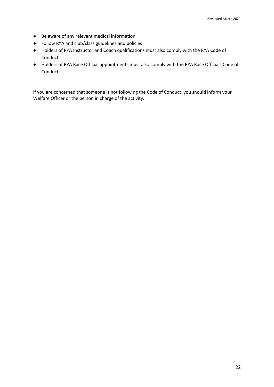- Be aware of any relevant medical information
- Follow RYA and club/class guidelines and policies
- Holders of RYA Instructor and Coach qualifications must also comply with the RYA Code of Conduct
- Holders of RYA Race Official appointments must also comply with the RYA Race Officials Code of Conduct.

If you are concerned that someone is not following the Code of Conduct, you should inform your Welfare Officer or the person in charge of the activity.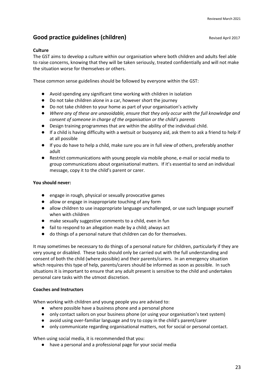## **Good practice guidelines (children) Good practice guidelines (children)** Revised April 2017

### **Culture**

The GST aims to develop a culture within our organisation where both children and adults feel able to raise concerns, knowing that they will be taken seriously, treated confidentially and will not make the situation worse for themselves or others.

These common sense guidelines should be followed by everyone within the GST:

- Avoid spending any significant time working with children in isolation
- Do not take children alone in a car, however short the journey
- Do not take children to your home as part of your organisation's activity
- *Where any of these are unavoidable, ensure that they only occur with the full knowledge and consent of someone in charge of the organisation or the child's parents*
- Design training programmes that are within the ability of the individual child.
- If a child is having difficulty with a wetsuit or buoyancy aid, ask them to ask a friend to help if at all possible
- If you do have to help a child, make sure you are in full view of others, preferably another adult
- Restrict communications with young people via mobile phone, e-mail or social media to group communications about organisational matters. If it's essential to send an individual message, copy it to the child's parent or carer.

### **You should never:**

- engage in rough, physical or sexually provocative games
- allow or engage in inappropriate touching of any form
- allow children to use inappropriate language unchallenged, or use such language yourself when with children
- make sexually suggestive comments to a child, even in fun
- fail to respond to an allegation made by a child; always act
- do things of a personal nature that children can do for themselves.

It may sometimes be necessary to do things of a personal nature for children, particularly if they are very young or disabled. These tasks should only be carried out with the full understanding and consent of both the child (where possible) and their parents/carers. In an emergency situation which requires this type of help, parents/carers should be informed as soon as possible. In such situations it is important to ensure that any adult present is sensitive to the child and undertakes personal care tasks with the utmost discretion.

### **Coaches and Instructors**

When working with children and young people you are advised to:

- where possible have a business phone and a personal phone
- only contact sailors on your business phone (or using your organisation's text system)
- avoid using over-familiar language and try to copy in the child's parent/carer
- only communicate regarding organisational matters, not for social or personal contact.

When using social media, it is recommended that you:

● have a personal and a professional page for your social media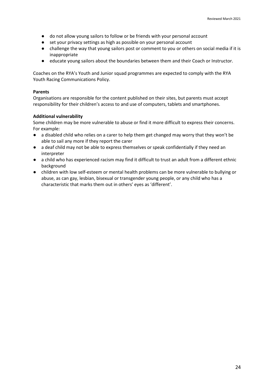- do not allow young sailors to follow or be friends with your personal account
- set your privacy settings as high as possible on your personal account
- challenge the way that young sailors post or comment to you or others on social media if it is inappropriate
- educate young sailors about the boundaries between them and their Coach or Instructor.

Coaches on the RYA's Youth and Junior squad programmes are expected to comply with the RYA Youth Racing Communications Policy.

### **Parents**

Organisations are responsible for the content published on their sites, but parents must accept responsibility for their children's access to and use of computers, tablets and smartphones.

### **Additional vulnerability**

Some children may be more vulnerable to abuse or find it more difficult to express their concerns. For example:

- a disabled child who relies on a carer to help them get changed may worry that they won't be able to sail any more if they report the carer
- a deaf child may not be able to express themselves or speak confidentially if they need an interpreter
- a child who has experienced racism may find it difficult to trust an adult from a different ethnic background
- children with low self-esteem or mental health problems can be more vulnerable to bullying or abuse, as can gay, lesbian, bisexual or transgender young people, or any child who has a characteristic that marks them out in others' eyes as 'different'.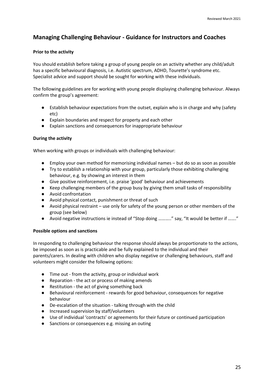## **Managing Challenging Behaviour - Guidance for Instructors and Coaches**

### **Prior to the activity**

You should establish before taking a group of young people on an activity whether any child/adult has a specific behavioural diagnosis, i.e. Autistic spectrum, ADHD, Tourette's syndrome etc. Specialist advice and support should be sought for working with these individuals.

The following guidelines are for working with young people displaying challenging behaviour. Always confirm the group's agreement:

- Establish behaviour expectations from the outset, explain who is in charge and why (safety etc)
- Explain boundaries and respect for property and each other
- Explain sanctions and consequences for inappropriate behaviour

### **During the activity**

When working with groups or individuals with challenging behaviour:

- Employ your own method for memorising individual names but do so as soon as possible
- Try to establish a relationship with your group, particularly those exhibiting challenging behaviour, e.g. by showing an interest in them
- Give positive reinforcement, i.e. praise 'good' behaviour and achievements
- Keep challenging members of the group busy by giving them small tasks of responsibility
- Avoid confrontation
- Avoid physical contact, punishment or threat of such
- Avoid physical restraint use only for safety of the young person or other members of the group (see below)
- Avoid negative instructions ie instead of "Stop doing ..........." say, "It would be better if ......."

### **Possible options and sanctions**

In responding to challenging behaviour the response should always be proportionate to the actions, be imposed as soon as is practicable and be fully explained to the individual and their parents/carers. In dealing with children who display negative or challenging behaviours, staff and volunteers might consider the following options:

- Time out from the activity, group or individual work
- Reparation the act or process of making amends
- Restitution the act of giving something back
- Behavioural reinforcement rewards for good behaviour, consequences for negative behaviour
- De-escalation of the situation talking through with the child
- Increased supervision by staff/volunteers
- Use of individual 'contracts' or agreements for their future or continued participation
- Sanctions or consequences e.g. missing an outing